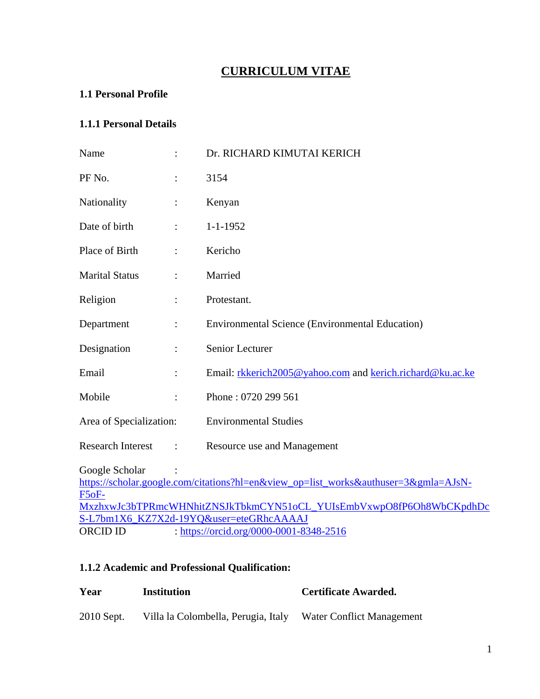# **CURRICULUM VITAE**

# **1.1 Personal Profile**

# **1.1.1 Personal Details**

| Name                     |                                         | Dr. RICHARD KIMUTAI KERICH                                                          |  |  |
|--------------------------|-----------------------------------------|-------------------------------------------------------------------------------------|--|--|
| PF No.                   |                                         | 3154                                                                                |  |  |
| Nationality              |                                         | Kenyan                                                                              |  |  |
| Date of birth            |                                         | $1 - 1 - 1952$                                                                      |  |  |
| Place of Birth           |                                         | Kericho                                                                             |  |  |
| <b>Marital Status</b>    |                                         | Married                                                                             |  |  |
| Religion                 |                                         | Protestant.                                                                         |  |  |
| Department               |                                         | <b>Environmental Science (Environmental Education)</b>                              |  |  |
| Designation              |                                         | Senior Lecturer                                                                     |  |  |
| Email                    |                                         | Email: rkkerich2005@yahoo.com and kerich.richard@ku.ac.ke                           |  |  |
| Mobile                   |                                         | Phone: 0720 299 561                                                                 |  |  |
| Area of Specialization:  |                                         | <b>Environmental Studies</b>                                                        |  |  |
| <b>Research Interest</b> | $\ddot{\cdot}$                          | Resource use and Management                                                         |  |  |
| Google Scholar           |                                         | https://scholar.google.com/citations?hl=en&view_op=list_works&authuser=3&gmla=AJsN- |  |  |
| $F5oF-$                  |                                         |                                                                                     |  |  |
|                          |                                         | MxzhxwJc3bTPRmcWHNhitZNSJkTbkmCYN51oCL_YUIsEmbVxwpO8fP6Oh8WbCKpdhDc                 |  |  |
|                          |                                         | S-L7bm1X6_KZ7X2d-19YQ&user=eteGRhcAAAAJ                                             |  |  |
| ORCID ID                 | : https://orcid.org/0000-0001-8348-2516 |                                                                                     |  |  |

# **1.1.2 Academic and Professional Qualification:**

| Year       | Institution                         | Certificate Awarded.      |
|------------|-------------------------------------|---------------------------|
| 2010 Sept. | Villa la Colombella, Perugia, Italy | Water Conflict Management |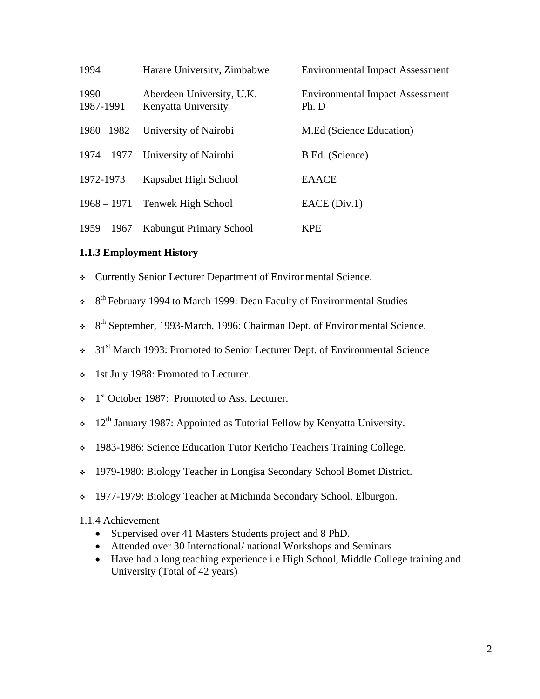| 1994              | Harare University, Zimbabwe                      | <b>Environmental Impact Assessment</b>          |
|-------------------|--------------------------------------------------|-------------------------------------------------|
| 1990<br>1987-1991 | Aberdeen University, U.K.<br>Kenyatta University | <b>Environmental Impact Assessment</b><br>Ph. D |
| 1980-1982         | University of Nairobi                            | M.Ed (Science Education)                        |
|                   | 1974 – 1977 University of Nairobi                | B.Ed. (Science)                                 |
| 1972-1973         | Kapsabet High School                             | <b>EAACE</b>                                    |
|                   | 1968 – 1971 Tenwek High School                   | EACE(Div.1)                                     |
| $1959 - 1967$     | Kabungut Primary School                          | <b>KPE</b>                                      |

# **1.1.3 Employment History**

- Currently Senior Lecturer Department of Environmental Science.
- $\div$  8<sup>th</sup> February 1994 to March 1999: Dean Faculty of Environmental Studies
- \* 8<sup>th</sup> September, 1993-March, 1996: Chairman Dept. of Environmental Science.
- $\div$  31<sup>st</sup> March 1993: Promoted to Senior Lecturer Dept. of Environmental Science
- $\div$  1st July 1988: Promoted to Lecturer.
- $\div$  1<sup>st</sup> October 1987: Promoted to Ass. Lecturer.
- $\cdot$  12<sup>th</sup> January 1987: Appointed as Tutorial Fellow by Kenyatta University.
- \* 1983-1986: Science Education Tutor Kericho Teachers Training College.
- 1979-1980: Biology Teacher in Longisa Secondary School Bomet District.
- 1977-1979: Biology Teacher at Michinda Secondary School, Elburgon.

#### 1.1.4 Achievement

- Supervised over 41 Masters Students project and 8 PhD.
- Attended over 30 International/ national Workshops and Seminars
- Have had a long teaching experience i.e High School, Middle College training and University (Total of 42 years)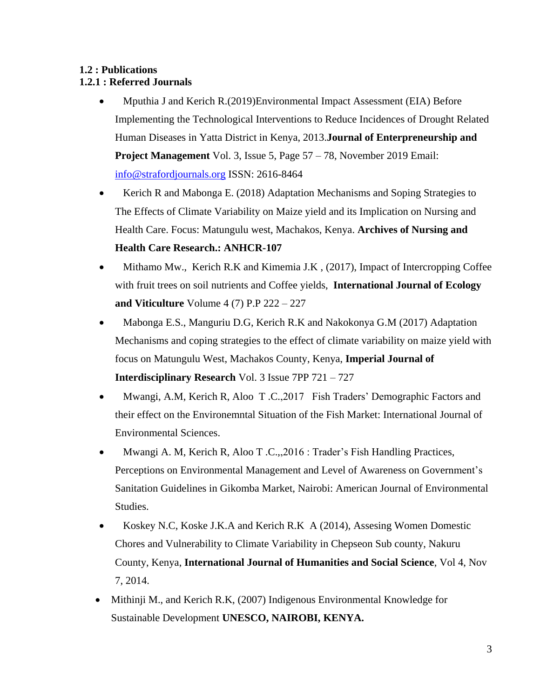# **1.2 : Publications**

# **1.2.1 : Referred Journals**

- Mputhia J and Kerich R.(2019)Environmental Impact Assessment (EIA) Before Implementing the Technological Interventions to Reduce Incidences of Drought Related Human Diseases in Yatta District in Kenya, 2013.**Journal of Enterpreneurship and Project Management** Vol. 3, Issue 5, Page 57 – 78, November 2019 Email: [info@strafordjournals.org](mailto:info@strafordjournals.org) ISSN: 2616-8464
- Kerich R and Mabonga E. (2018) Adaptation Mechanisms and Soping Strategies to The Effects of Climate Variability on Maize yield and its Implication on Nursing and Health Care. Focus: Matungulu west, Machakos, Kenya. **Archives of Nursing and Health Care Research.: ANHCR-107**
- Mithamo Mw., Kerich R.K and Kimemia J.K , (2017), Impact of Intercropping Coffee with fruit trees on soil nutrients and Coffee yields, **International Journal of Ecology and Viticulture** Volume 4 (7) P.P 222 – 227
- Mabonga E.S., Manguriu D.G, Kerich R.K and Nakokonya G.M (2017) Adaptation Mechanisms and coping strategies to the effect of climate variability on maize yield with focus on Matungulu West, Machakos County, Kenya, **Imperial Journal of Interdisciplinary Research** Vol. 3 Issue 7PP 721 – 727
- Mwangi, A.M, Kerich R, Aloo T .C.,2017 Fish Traders' Demographic Factors and their effect on the Environemntal Situation of the Fish Market: International Journal of Environmental Sciences.
- Mwangi A. M, Kerich R, Aloo T .C.,,2016 : Trader's Fish Handling Practices, Perceptions on Environmental Management and Level of Awareness on Government's Sanitation Guidelines in Gikomba Market, Nairobi: American Journal of Environmental Studies.
- Koskey N.C, Koske J.K.A and Kerich R.K A (2014), Assesing Women Domestic Chores and Vulnerability to Climate Variability in Chepseon Sub county, Nakuru County, Kenya, **International Journal of Humanities and Social Science**, Vol 4, Nov 7, 2014.
- Mithinji M., and Kerich R.K, (2007) Indigenous Environmental Knowledge for Sustainable Development **UNESCO, NAIROBI, KENYA.**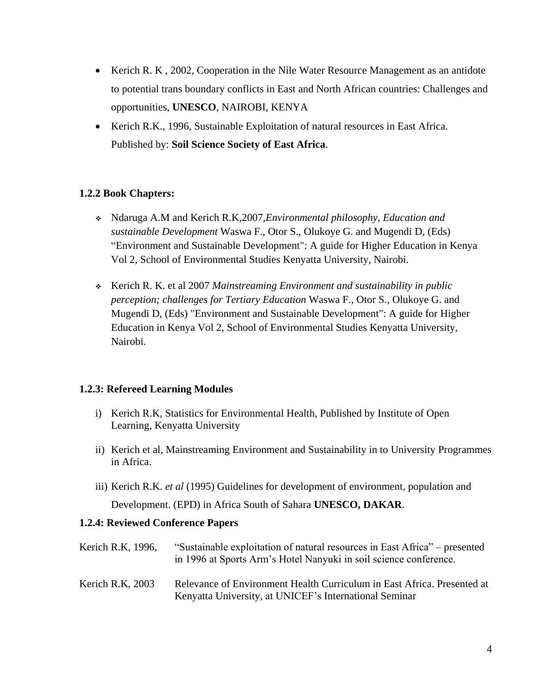- Kerich R. K, 2002, Cooperation in the Nile Water Resource Management as an antidote to potential trans boundary conflicts in East and North African countries: Challenges and opportunities, **UNESCO**, NAIROBI, KENYA
- Kerich R.K., 1996, Sustainable Exploitation of natural resources in East Africa. Published by: **Soil Science Society of East Africa**.

# **1.2.2 Book Chapters:**

- Ndaruga A.M and Kerich R.K,2007,*Environmental philosophy, Education and sustainable Development* Waswa F., Otor S., Olukoye G. and Mugendi D, (Eds) "Environment and Sustainable Development": A guide for Higher Education in Kenya Vol 2, School of Environmental Studies Kenyatta University, Nairobi.
- Kerich R. K. et al 2007 *Mainstreaming Environment and sustainability in public perception; challenges for Tertiary Education* Waswa F., Otor S., Olukoye G. and Mugendi D, (Eds) "Environment and Sustainable Development": A guide for Higher Education in Kenya Vol 2, School of Environmental Studies Kenyatta University, Nairobi.

# **1.2.3: Refereed Learning Modules**

- i) Kerich R.K, Statistics for Environmental Health, Published by Institute of Open Learning, Kenyatta University
- ii) Kerich et al, Mainstreaming Environment and Sustainability in to University Programmes in Africa.
- iii) Kerich R.K. *et al* (1995) Guidelines for development of environment, population and

Development. (EPD) in Africa South of Sahara **UNESCO, DAKAR**.

# **1.2.4: Reviewed Conference Papers**

- Kerich R.K, 1996, "Sustainable exploitation of natural resources in East Africa" presented in 1996 at Sports Arm's Hotel Nanyuki in soil science conference.
- Kerich R.K, 2003 Relevance of Environment Health Curriculum in East Africa. Presented at Kenyatta University, at UNICEF's International Seminar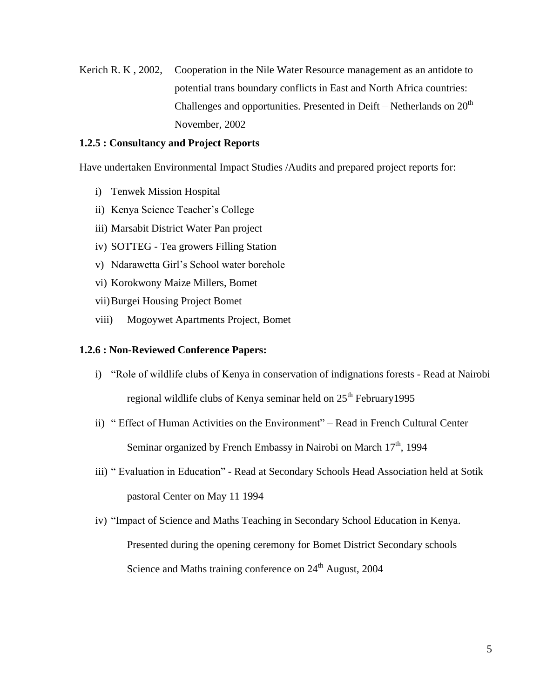Kerich R. K, 2002, Cooperation in the Nile Water Resource management as an antidote to potential trans boundary conflicts in East and North Africa countries: Challenges and opportunities. Presented in Deift – Netherlands on  $20<sup>th</sup>$ November, 2002

#### **1.2.5 : Consultancy and Project Reports**

Have undertaken Environmental Impact Studies /Audits and prepared project reports for:

- i) Tenwek Mission Hospital
- ii) Kenya Science Teacher's College
- iii) Marsabit District Water Pan project
- iv) SOTTEG Tea growers Filling Station
- v) Ndarawetta Girl's School water borehole
- vi) Korokwony Maize Millers, Bomet
- vii)Burgei Housing Project Bomet
- viii) Mogoywet Apartments Project, Bomet

#### **1.2.6 : Non-Reviewed Conference Papers:**

- i) "Role of wildlife clubs of Kenya in conservation of indignations forests Read at Nairobi regional wildlife clubs of Kenya seminar held on  $25<sup>th</sup>$  February 1995
- ii) " Effect of Human Activities on the Environment" Read in French Cultural Center Seminar organized by French Embassy in Nairobi on March  $17<sup>th</sup>$ , 1994
- iii) " Evaluation in Education" Read at Secondary Schools Head Association held at Sotik pastoral Center on May 11 1994
- iv) "Impact of Science and Maths Teaching in Secondary School Education in Kenya. Presented during the opening ceremony for Bomet District Secondary schools Science and Maths training conference on  $24<sup>th</sup>$  August, 2004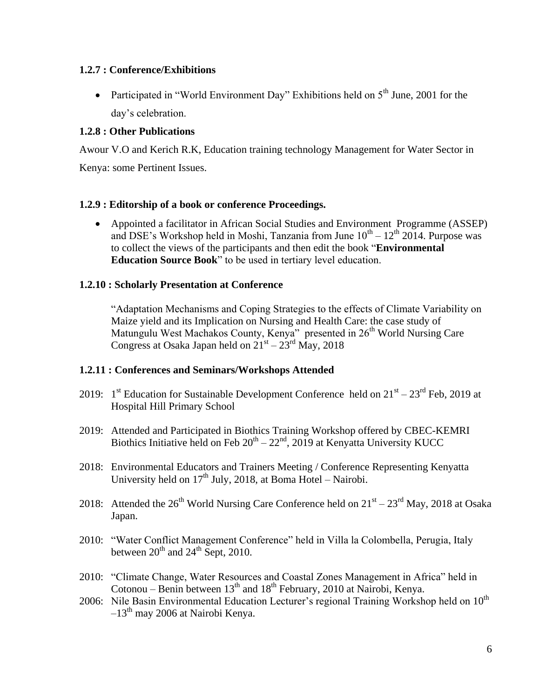## **1.2.7 : Conference/Exhibitions**

• Participated in "World Environment Day" Exhibitions held on  $5<sup>th</sup>$  June, 2001 for the day's celebration.

## **1.2.8 : Other Publications**

Awour V.O and Kerich R.K, Education training technology Management for Water Sector in Kenya: some Pertinent Issues.

## **1.2.9 : Editorship of a book or conference Proceedings.**

 Appointed a facilitator in African Social Studies and Environment Programme (ASSEP) and DSE's Workshop held in Moshi, Tanzania from June  $10^{th} - 12^{th}$  2014. Purpose was to collect the views of the participants and then edit the book "**Environmental Education Source Book**" to be used in tertiary level education.

## **1.2.10 : Scholarly Presentation at Conference**

"Adaptation Mechanisms and Coping Strategies to the effects of Climate Variability on Maize yield and its Implication on Nursing and Health Care: the case study of Matungulu West Machakos County, Kenya" presented in 26<sup>th</sup> World Nursing Care Congress at Osaka Japan held on  $21<sup>st</sup> - 23<sup>rd</sup>$  May, 2018

#### **1.2.11 : Conferences and Seminars/Workshops Attended**

- 2019:  $1<sup>st</sup>$  Education for Sustainable Development Conference held on  $21<sup>st</sup> 23<sup>rd</sup>$  Feb, 2019 at Hospital Hill Primary School
- 2019: Attended and Participated in Biothics Training Workshop offered by CBEC-KEMRI Biothics Initiative held on Feb  $20^{th} - 22^{nd}$ , 2019 at Kenyatta University KUCC
- 2018: Environmental Educators and Trainers Meeting / Conference Representing Kenyatta University held on  $17<sup>th</sup>$  July, 2018, at Boma Hotel – Nairobi.
- 2018: Attended the  $26^{th}$  World Nursing Care Conference held on  $21^{st} 23^{rd}$  May, 2018 at Osaka Japan.
- 2010: "Water Conflict Management Conference" held in Villa la Colombella, Perugia, Italy between  $20^{th}$  and  $24^{th}$  Sept, 2010.
- 2010: "Climate Change, Water Resources and Coastal Zones Management in Africa" held in Cotonou – Benin between  $13<sup>th</sup>$  and  $18<sup>th</sup>$  February, 2010 at Nairobi, Kenya.
- 2006: Nile Basin Environmental Education Lecturer's regional Training Workshop held on  $10^{th}$  $-13<sup>th</sup>$  may 2006 at Nairobi Kenya.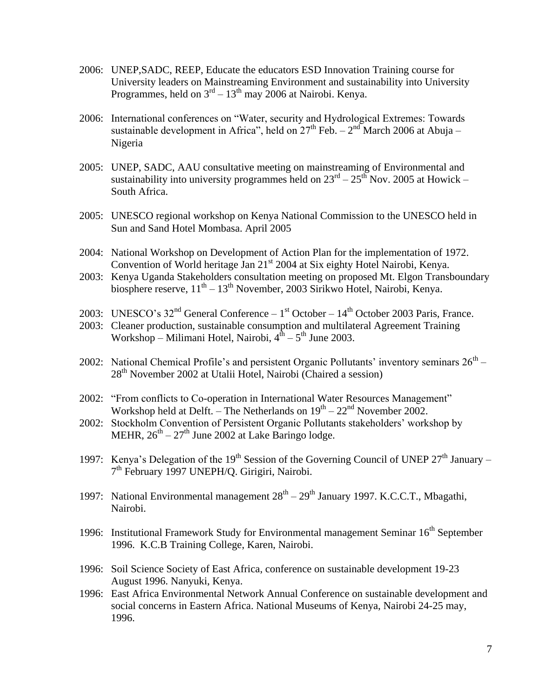- 2006: UNEP,SADC, REEP, Educate the educators ESD Innovation Training course for University leaders on Mainstreaming Environment and sustainability into University Programmes, held on  $3<sup>rd</sup> - 13<sup>th</sup>$  may 2006 at Nairobi. Kenya.
- 2006: International conferences on "Water, security and Hydrological Extremes: Towards sustainable development in Africa", held on  $27<sup>th</sup>$  Feb.  $-2<sup>nd</sup>$  March 2006 at Abuja – Nigeria
- 2005: UNEP, SADC, AAU consultative meeting on mainstreaming of Environmental and sustainability into university programmes held on  $23^{rd} - 25^{th}$  Nov. 2005 at Howick – South Africa.
- 2005: UNESCO regional workshop on Kenya National Commission to the UNESCO held in Sun and Sand Hotel Mombasa. April 2005
- 2004: National Workshop on Development of Action Plan for the implementation of 1972. Convention of World heritage Jan  $21<sup>st</sup>$  2004 at Six eighty Hotel Nairobi, Kenya.
- 2003: Kenya Uganda Stakeholders consultation meeting on proposed Mt. Elgon Transboundary biosphere reserve,  $11<sup>th</sup> - 13<sup>th</sup>$  November, 2003 Sirikwo Hotel, Nairobi, Kenya.
- 2003: UNESCO's  $32<sup>nd</sup>$  General Conference 1<sup>st</sup> October 14<sup>th</sup> October 2003 Paris, France.
- 2003: Cleaner production, sustainable consumption and multilateral Agreement Training Workshop – Milimani Hotel, Nairobi,  $4^{\text{th}} - 5^{\text{th}}$  June 2003.
- 2002: National Chemical Profile's and persistent Organic Pollutants' inventory seminars  $26<sup>th</sup>$   $28<sup>th</sup>$  November 2002 at Utalii Hotel, Nairobi (Chaired a session)
- 2002: "From conflicts to Co-operation in International Water Resources Management" Workshop held at Delft. – The Netherlands on  $19^{th} - 22^{nd}$  November 2002.
- 2002: Stockholm Convention of Persistent Organic Pollutants stakeholders' workshop by MEHR,  $26^{th} - 27^{th}$  June 2002 at Lake Baringo lodge.
- 1997: Kenya's Delegation of the 19<sup>th</sup> Session of the Governing Council of UNEP  $27<sup>th</sup>$  January 7<sup>th</sup> February 1997 UNEPH/Q. Girigiri, Nairobi.
- 1997: National Environmental management  $28<sup>th</sup> 29<sup>th</sup>$  January 1997. K.C.C.T., Mbagathi, Nairobi.
- 1996: Institutional Framework Study for Environmental management Seminar  $16<sup>th</sup>$  September 1996. K.C.B Training College, Karen, Nairobi.
- 1996: Soil Science Society of East Africa, conference on sustainable development 19-23 August 1996. Nanyuki, Kenya.
- 1996: East Africa Environmental Network Annual Conference on sustainable development and social concerns in Eastern Africa. National Museums of Kenya, Nairobi 24-25 may, 1996.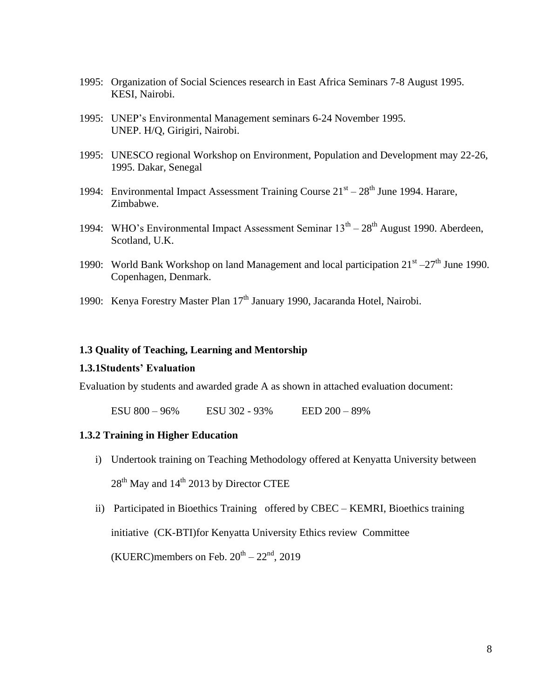- 1995: Organization of Social Sciences research in East Africa Seminars 7-8 August 1995. KESI, Nairobi.
- 1995: UNEP's Environmental Management seminars 6-24 November 1995. UNEP. H/Q, Girigiri, Nairobi.
- 1995: UNESCO regional Workshop on Environment, Population and Development may 22-26, 1995. Dakar, Senegal
- 1994: Environmental Impact Assessment Training Course  $21<sup>st</sup> 28<sup>th</sup>$  June 1994. Harare, Zimbabwe.
- 1994: WHO's Environmental Impact Assessment Seminar  $13<sup>th</sup> 28<sup>th</sup>$  August 1990. Aberdeen, Scotland, U.K.
- 1990: World Bank Workshop on land Management and local participation  $21^{st} 27^{th}$  June 1990. Copenhagen, Denmark.
- 1990: Kenya Forestry Master Plan 17<sup>th</sup> January 1990, Jacaranda Hotel, Nairobi.

#### **1.3 Quality of Teaching, Learning and Mentorship**

#### **1.3.1Students' Evaluation**

Evaluation by students and awarded grade A as shown in attached evaluation document:

ESU 800 – 96% ESU 302 - 93% EED 200 – 89%

#### **1.3.2 Training in Higher Education**

- i) Undertook training on Teaching Methodology offered at Kenyatta University between  $28<sup>th</sup>$  May and  $14<sup>th</sup>$  2013 by Director CTEE
- ii) Participated in Bioethics Training offered by CBEC KEMRI, Bioethics training initiative (CK-BTI)for Kenyatta University Ethics review Committee (KUERC)members on Feb.  $20^{th} - 22^{nd}$ , 2019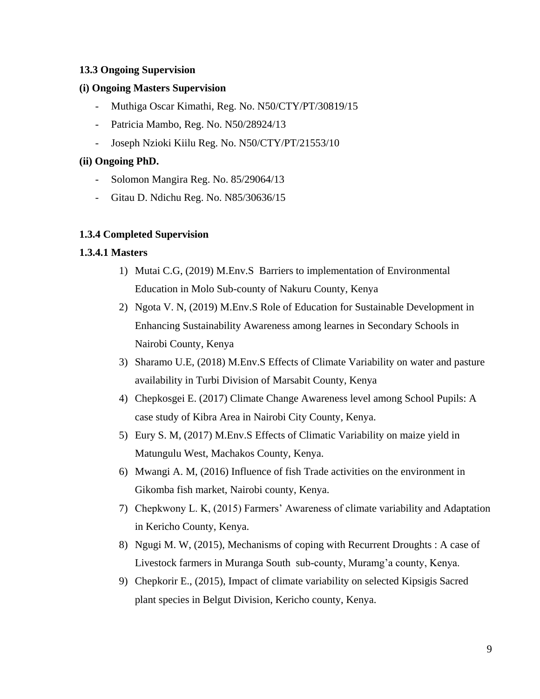## **13.3 Ongoing Supervision**

#### **(i) Ongoing Masters Supervision**

- Muthiga Oscar Kimathi, Reg. No. N50/CTY/PT/30819/15
- Patricia Mambo, Reg. No. N50/28924/13
- Joseph Nzioki Kiilu Reg. No. N50/CTY/PT/21553/10

## **(ii) Ongoing PhD.**

- Solomon Mangira Reg. No. 85/29064/13
- Gitau D. Ndichu Reg. No. N85/30636/15

## **1.3.4 Completed Supervision**

#### **1.3.4.1 Masters**

- 1) Mutai C.G, (2019) M.Env.S Barriers to implementation of Environmental Education in Molo Sub-county of Nakuru County, Kenya
- 2) Ngota V. N, (2019) M.Env.S Role of Education for Sustainable Development in Enhancing Sustainability Awareness among learnes in Secondary Schools in Nairobi County, Kenya
- 3) Sharamo U.E, (2018) M.Env.S Effects of Climate Variability on water and pasture availability in Turbi Division of Marsabit County, Kenya
- 4) Chepkosgei E. (2017) Climate Change Awareness level among School Pupils: A case study of Kibra Area in Nairobi City County, Kenya.
- 5) Eury S. M, (2017) M.Env.S Effects of Climatic Variability on maize yield in Matungulu West, Machakos County, Kenya.
- 6) Mwangi A. M, (2016) Influence of fish Trade activities on the environment in Gikomba fish market, Nairobi county, Kenya.
- 7) Chepkwony L. K, (2015) Farmers' Awareness of climate variability and Adaptation in Kericho County, Kenya.
- 8) Ngugi M. W, (2015), Mechanisms of coping with Recurrent Droughts : A case of Livestock farmers in Muranga South sub-county, Muramg'a county, Kenya.
- 9) Chepkorir E., (2015), Impact of climate variability on selected Kipsigis Sacred plant species in Belgut Division, Kericho county, Kenya.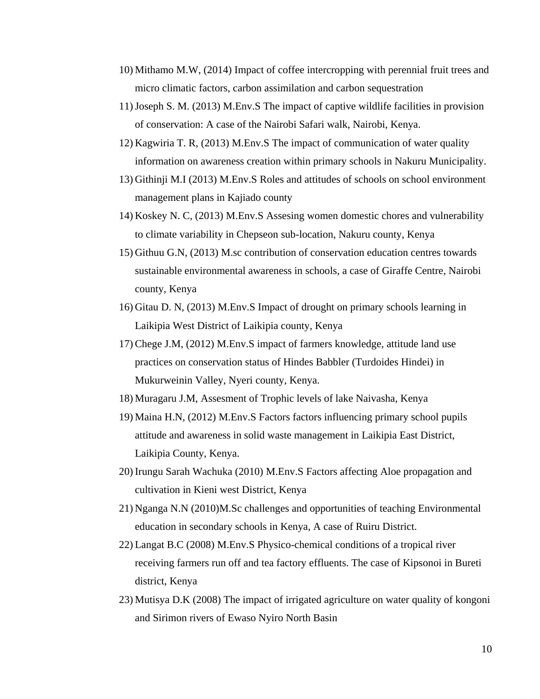- 10) Mithamo M.W, (2014) Impact of coffee intercropping with perennial fruit trees and micro climatic factors, carbon assimilation and carbon sequestration
- 11)Joseph S. M. (2013) M.Env.S The impact of captive wildlife facilities in provision of conservation: A case of the Nairobi Safari walk, Nairobi, Kenya.
- 12) Kagwiria T. R, (2013) M.Env.S The impact of communication of water quality information on awareness creation within primary schools in Nakuru Municipality.
- 13) Githinji M.I (2013) M.Env.S Roles and attitudes of schools on school environment management plans in Kajiado county
- 14) Koskey N. C, (2013) M.Env.S Assesing women domestic chores and vulnerability to climate variability in Chepseon sub-location, Nakuru county, Kenya
- 15) Githuu G.N, (2013) M.sc contribution of conservation education centres towards sustainable environmental awareness in schools, a case of Giraffe Centre, Nairobi county, Kenya
- 16) Gitau D. N, (2013) M.Env.S Impact of drought on primary schools learning in Laikipia West District of Laikipia county, Kenya
- 17) Chege J.M, (2012) M.Env.S impact of farmers knowledge, attitude land use practices on conservation status of Hindes Babbler (Turdoides Hindei) in Mukurweinin Valley, Nyeri county, Kenya.
- 18) Muragaru J.M, Assesment of Trophic levels of lake Naivasha, Kenya
- 19) Maina H.N, (2012) M.Env.S Factors factors influencing primary school pupils attitude and awareness in solid waste management in Laikipia East District, Laikipia County, Kenya.
- 20) Irungu Sarah Wachuka (2010) M.Env.S Factors affecting Aloe propagation and cultivation in Kieni west District, Kenya
- 21) Nganga N.N (2010)M.Sc challenges and opportunities of teaching Environmental education in secondary schools in Kenya, A case of Ruiru District.
- 22) Langat B.C (2008) M.Env.S Physico-chemical conditions of a tropical river receiving farmers run off and tea factory effluents. The case of Kipsonoi in Bureti district, Kenya
- 23) Mutisya D.K (2008) The impact of irrigated agriculture on water quality of kongoni and Sirimon rivers of Ewaso Nyiro North Basin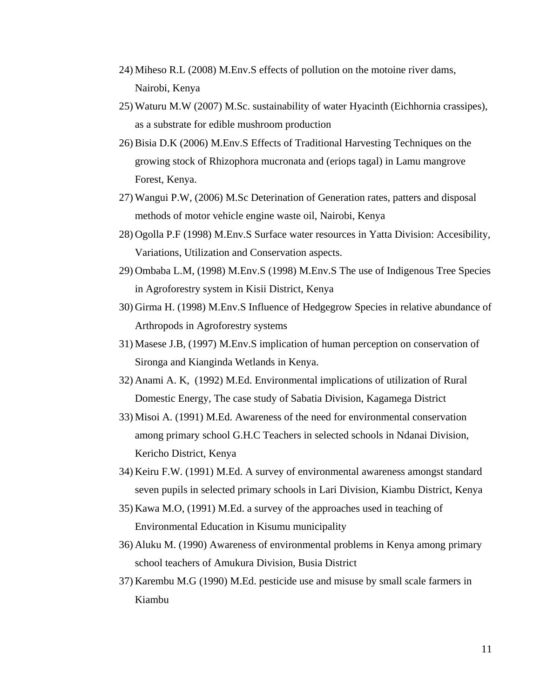- 24) Miheso R.L (2008) M.Env.S effects of pollution on the motoine river dams, Nairobi, Kenya
- 25) Waturu M.W (2007) M.Sc. sustainability of water Hyacinth (Eichhornia crassipes), as a substrate for edible mushroom production
- 26) Bisia D.K (2006) M.Env.S Effects of Traditional Harvesting Techniques on the growing stock of Rhizophora mucronata and (eriops tagal) in Lamu mangrove Forest, Kenya.
- 27) Wangui P.W, (2006) M.Sc Deterination of Generation rates, patters and disposal methods of motor vehicle engine waste oil, Nairobi, Kenya
- 28) Ogolla P.F (1998) M.Env.S Surface water resources in Yatta Division: Accesibility, Variations, Utilization and Conservation aspects.
- 29) Ombaba L.M, (1998) M.Env.S (1998) M.Env.S The use of Indigenous Tree Species in Agroforestry system in Kisii District, Kenya
- 30) Girma H. (1998) M.Env.S Influence of Hedgegrow Species in relative abundance of Arthropods in Agroforestry systems
- 31) Masese J.B, (1997) M.Env.S implication of human perception on conservation of Sironga and Kianginda Wetlands in Kenya.
- 32) Anami A. K, (1992) M.Ed. Environmental implications of utilization of Rural Domestic Energy, The case study of Sabatia Division, Kagamega District
- 33) Misoi A. (1991) M.Ed. Awareness of the need for environmental conservation among primary school G.H.C Teachers in selected schools in Ndanai Division, Kericho District, Kenya
- 34) Keiru F.W. (1991) M.Ed. A survey of environmental awareness amongst standard seven pupils in selected primary schools in Lari Division, Kiambu District, Kenya
- 35) Kawa M.O, (1991) M.Ed. a survey of the approaches used in teaching of Environmental Education in Kisumu municipality
- 36) Aluku M. (1990) Awareness of environmental problems in Kenya among primary school teachers of Amukura Division, Busia District
- 37) Karembu M.G (1990) M.Ed. pesticide use and misuse by small scale farmers in Kiambu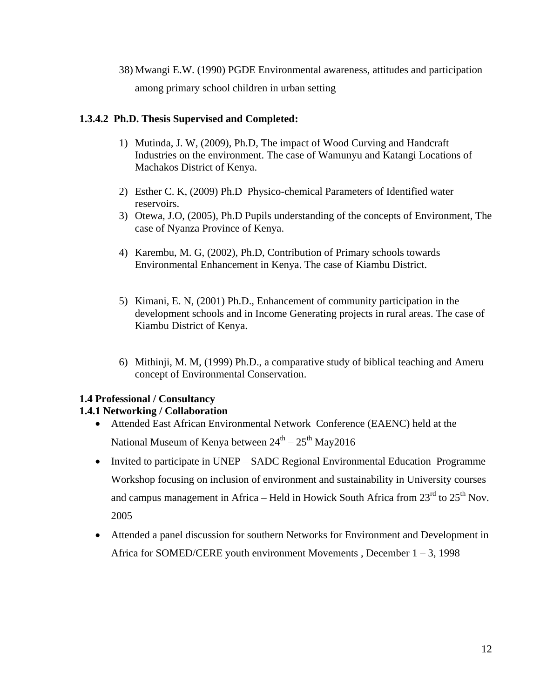38) Mwangi E.W. (1990) PGDE Environmental awareness, attitudes and participation among primary school children in urban setting

# **1.3.4.2 Ph.D. Thesis Supervised and Completed:**

- 1) Mutinda, J. W, (2009), Ph.D, The impact of Wood Curving and Handcraft Industries on the environment. The case of Wamunyu and Katangi Locations of Machakos District of Kenya.
- 2) Esther C. K, (2009) Ph.D Physico-chemical Parameters of Identified water reservoirs.
- 3) Otewa, J.O, (2005), Ph.D Pupils understanding of the concepts of Environment, The case of Nyanza Province of Kenya.
- 4) Karembu, M. G, (2002), Ph.D, Contribution of Primary schools towards Environmental Enhancement in Kenya. The case of Kiambu District.
- 5) Kimani, E. N, (2001) Ph.D., Enhancement of community participation in the development schools and in Income Generating projects in rural areas. The case of Kiambu District of Kenya.
- 6) Mithinji, M. M, (1999) Ph.D., a comparative study of biblical teaching and Ameru concept of Environmental Conservation.

# **1.4 Professional / Consultancy**

# **1.4.1 Networking / Collaboration**

- Attended East African Environmental Network Conference (EAENC) held at the National Museum of Kenya between  $24^{\rm th}$  –  $25^{\rm th}$  May $2016$
- Invited to participate in UNEP SADC Regional Environmental Education Programme Workshop focusing on inclusion of environment and sustainability in University courses and campus management in Africa – Held in Howick South Africa from  $23<sup>rd</sup>$  to  $25<sup>th</sup>$  Nov. 2005
- Attended a panel discussion for southern Networks for Environment and Development in Africa for SOMED/CERE youth environment Movements , December 1 – 3, 1998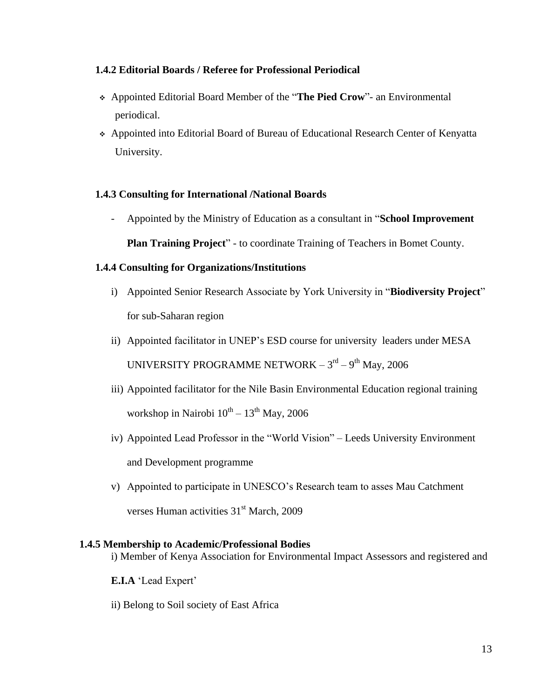## **1.4.2 Editorial Boards / Referee for Professional Periodical**

- Appointed Editorial Board Member of the "**The Pied Crow**"- an Environmental periodical.
- Appointed into Editorial Board of Bureau of Educational Research Center of Kenyatta University.

## **1.4.3 Consulting for International /National Boards**

- Appointed by the Ministry of Education as a consultant in "**School Improvement Plan Training Project**" - to coordinate Training of Teachers in Bomet County.

## **1.4.4 Consulting for Organizations/Institutions**

- i) Appointed Senior Research Associate by York University in "**Biodiversity Project**" for sub-Saharan region
- ii) Appointed facilitator in UNEP's ESD course for university leaders under MESA UNIVERSITY PROGRAMME NETWORK –  $3^{\text{rd}} - 9^{\text{th}}$  May, 2006
- iii) Appointed facilitator for the Nile Basin Environmental Education regional training workshop in Nairobi  $10^{th} - 13^{th}$  May, 2006
- iv) Appointed Lead Professor in the "World Vision" Leeds University Environment and Development programme
- v) Appointed to participate in UNESCO's Research team to asses Mau Catchment verses Human activities 31<sup>st</sup> March, 2009

#### **1.4.5 Membership to Academic/Professional Bodies**

i) Member of Kenya Association for Environmental Impact Assessors and registered and

- **E.I.A** 'Lead Expert'
- ii) Belong to Soil society of East Africa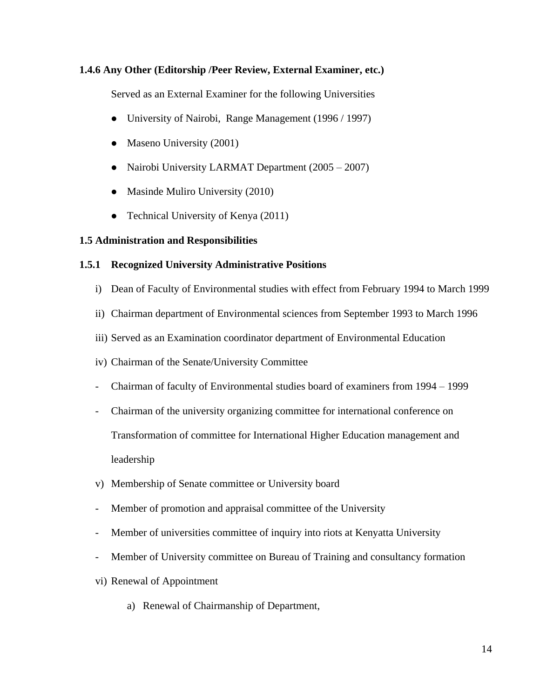# **1.4.6 Any Other (Editorship /Peer Review, External Examiner, etc.)**

Served as an External Examiner for the following Universities

- University of Nairobi, Range Management (1996 / 1997)
- Maseno University (2001)
- Nairobi University LARMAT Department (2005 2007)
- Masinde Muliro University (2010)
- Technical University of Kenya (2011)

#### **1.5 Administration and Responsibilities**

#### **1.5.1 Recognized University Administrative Positions**

- i) Dean of Faculty of Environmental studies with effect from February 1994 to March 1999
- ii) Chairman department of Environmental sciences from September 1993 to March 1996
- iii) Served as an Examination coordinator department of Environmental Education
- iv) Chairman of the Senate/University Committee
- Chairman of faculty of Environmental studies board of examiners from 1994 1999
- Chairman of the university organizing committee for international conference on Transformation of committee for International Higher Education management and leadership
- v) Membership of Senate committee or University board
- Member of promotion and appraisal committee of the University
- Member of universities committee of inquiry into riots at Kenyatta University
- Member of University committee on Bureau of Training and consultancy formation
- vi) Renewal of Appointment
	- a) Renewal of Chairmanship of Department,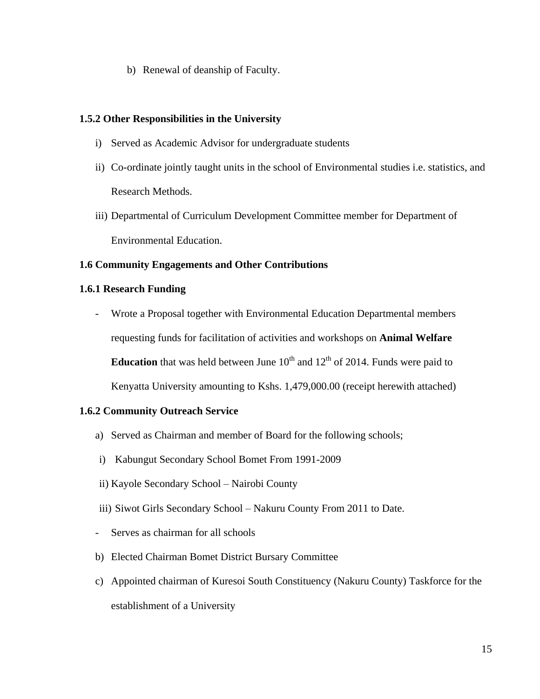b) Renewal of deanship of Faculty.

## **1.5.2 Other Responsibilities in the University**

- i) Served as Academic Advisor for undergraduate students
- ii) Co-ordinate jointly taught units in the school of Environmental studies i.e. statistics, and Research Methods.
- iii) Departmental of Curriculum Development Committee member for Department of Environmental Education.

## **1.6 Community Engagements and Other Contributions**

#### **1.6.1 Research Funding**

- Wrote a Proposal together with Environmental Education Departmental members requesting funds for facilitation of activities and workshops on **Animal Welfare Education** that was held between June  $10<sup>th</sup>$  and  $12<sup>th</sup>$  of 2014. Funds were paid to Kenyatta University amounting to Kshs. 1,479,000.00 (receipt herewith attached)

#### **1.6.2 Community Outreach Service**

- a) Served as Chairman and member of Board for the following schools;
- i) Kabungut Secondary School Bomet From 1991-2009
- ii) Kayole Secondary School Nairobi County
- iii) Siwot Girls Secondary School Nakuru County From 2011 to Date.
- Serves as chairman for all schools
- b) Elected Chairman Bomet District Bursary Committee
- c) Appointed chairman of Kuresoi South Constituency (Nakuru County) Taskforce for the establishment of a University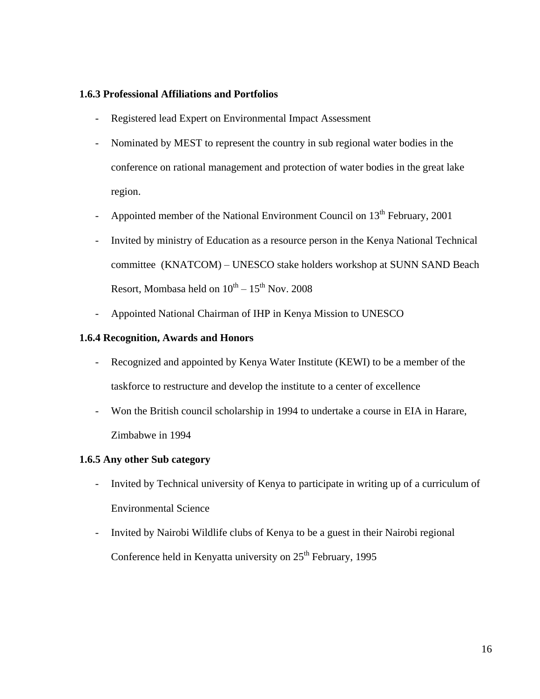#### **1.6.3 Professional Affiliations and Portfolios**

- Registered lead Expert on Environmental Impact Assessment
- Nominated by MEST to represent the country in sub regional water bodies in the conference on rational management and protection of water bodies in the great lake region.
- Appointed member of the National Environment Council on  $13<sup>th</sup>$  February, 2001
- Invited by ministry of Education as a resource person in the Kenya National Technical committee (KNATCOM) – UNESCO stake holders workshop at SUNN SAND Beach Resort, Mombasa held on  $10^{\rm th}$  –  $15^{\rm th}$  Nov. 2008
- Appointed National Chairman of IHP in Kenya Mission to UNESCO

## **1.6.4 Recognition, Awards and Honors**

- Recognized and appointed by Kenya Water Institute (KEWI) to be a member of the taskforce to restructure and develop the institute to a center of excellence
- Won the British council scholarship in 1994 to undertake a course in EIA in Harare, Zimbabwe in 1994

#### **1.6.5 Any other Sub category**

- Invited by Technical university of Kenya to participate in writing up of a curriculum of Environmental Science
- Invited by Nairobi Wildlife clubs of Kenya to be a guest in their Nairobi regional Conference held in Kenyatta university on  $25<sup>th</sup>$  February, 1995